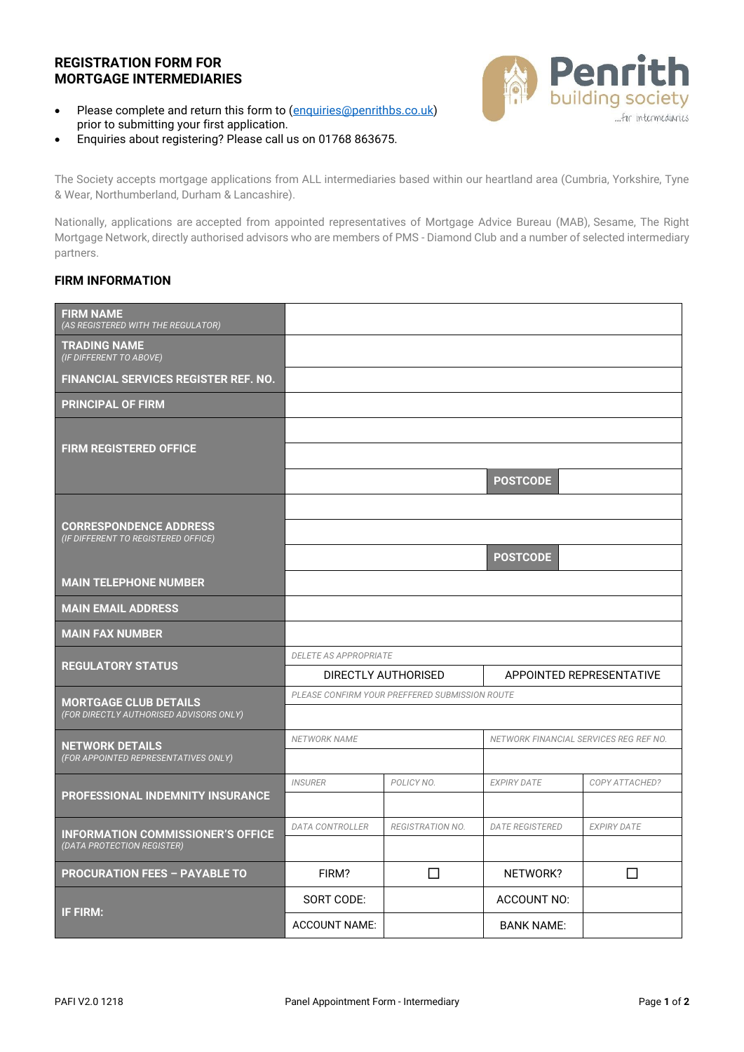## **REGISTRATION FORM FOR MORTGAGE INTERMEDIARIES**

- Please complete and return this form to [\(enquiries@penrithbs.co.uk\)](mailto:enquiries@penrithbs.co.uk) prior to submitting your first application.
- Enquiries about registering? Please call us on 01768 863675.

The Society accepts mortgage applications from ALL intermediaries based within our heartland area (Cumbria, Yorkshire, Tyne & Wear, Northumberland, Durham & Lancashire).

Nationally, applications are accepted from appointed representatives of Mortgage Advice Bureau (MAB), Sesame, The Right Mortgage Network, directly authorised advisors who are members of PMS - Diamond Club and a number of selected intermediary partners.

## **FIRM INFORMATION**

| <b>FIRM NAME</b><br>(AS REGISTERED WITH THE REGULATOR)                 |                                                        |                  |                                        |                    |  |
|------------------------------------------------------------------------|--------------------------------------------------------|------------------|----------------------------------------|--------------------|--|
| <b>TRADING NAME</b><br>(IF DIFFERENT TO ABOVE)                         |                                                        |                  |                                        |                    |  |
| <b>FINANCIAL SERVICES REGISTER REF. NO.</b>                            |                                                        |                  |                                        |                    |  |
| <b>PRINCIPAL OF FIRM</b>                                               |                                                        |                  |                                        |                    |  |
|                                                                        |                                                        |                  |                                        |                    |  |
| <b>FIRM REGISTERED OFFICE</b>                                          |                                                        |                  |                                        |                    |  |
|                                                                        |                                                        |                  | <b>POSTCODE</b>                        |                    |  |
|                                                                        |                                                        |                  |                                        |                    |  |
| <b>CORRESPONDENCE ADDRESS</b><br>(IF DIFFERENT TO REGISTERED OFFICE)   |                                                        |                  |                                        |                    |  |
|                                                                        |                                                        |                  | <b>POSTCODE</b>                        |                    |  |
| <b>MAIN TELEPHONE NUMBER</b>                                           |                                                        |                  |                                        |                    |  |
| <b>MAIN EMAIL ADDRESS</b>                                              |                                                        |                  |                                        |                    |  |
| <b>MAIN FAX NUMBER</b>                                                 |                                                        |                  |                                        |                    |  |
| <b>REGULATORY STATUS</b>                                               | <b>DELETE AS APPROPRIATE</b>                           |                  |                                        |                    |  |
|                                                                        | <b>DIRECTLY AUTHORISED</b><br>APPOINTED REPRESENTATIVE |                  |                                        |                    |  |
| <b>MORTGAGE CLUB DETAILS</b>                                           | PLEASE CONFIRM YOUR PREFFERED SUBMISSION ROUTE         |                  |                                        |                    |  |
| (FOR DIRECTLY AUTHORISED ADVISORS ONLY)                                |                                                        |                  |                                        |                    |  |
| <b>NETWORK DETAILS</b>                                                 | <b>NETWORK NAME</b>                                    |                  | NETWORK FINANCIAL SERVICES REG REF NO. |                    |  |
| (FOR APPOINTED REPRESENTATIVES ONLY)                                   |                                                        |                  |                                        |                    |  |
| <b>PROFESSIONAL INDEMNITY INSURANCE</b>                                | <b>INSURER</b>                                         | POLICY NO.       | <b>EXPIRY DATE</b>                     | COPY ATTACHED?     |  |
|                                                                        |                                                        |                  |                                        |                    |  |
| <b>INFORMATION COMMISSIONER'S OFFICE</b><br>(DATA PROTECTION REGISTER) | <b>DATA CONTROLLER</b>                                 | REGISTRATION NO. | <b>DATE REGISTERED</b>                 | <b>EXPIRY DATE</b> |  |
|                                                                        |                                                        |                  |                                        |                    |  |
| <b>PROCURATION FEES - PAYABLE TO</b>                                   | FIRM?                                                  | □                | NETWORK?                               | □                  |  |
| <b>IF FIRM:</b>                                                        | SORT CODE:                                             |                  | <b>ACCOUNT NO:</b>                     |                    |  |
|                                                                        | <b>ACCOUNT NAME:</b>                                   |                  | <b>BANK NAME:</b>                      |                    |  |